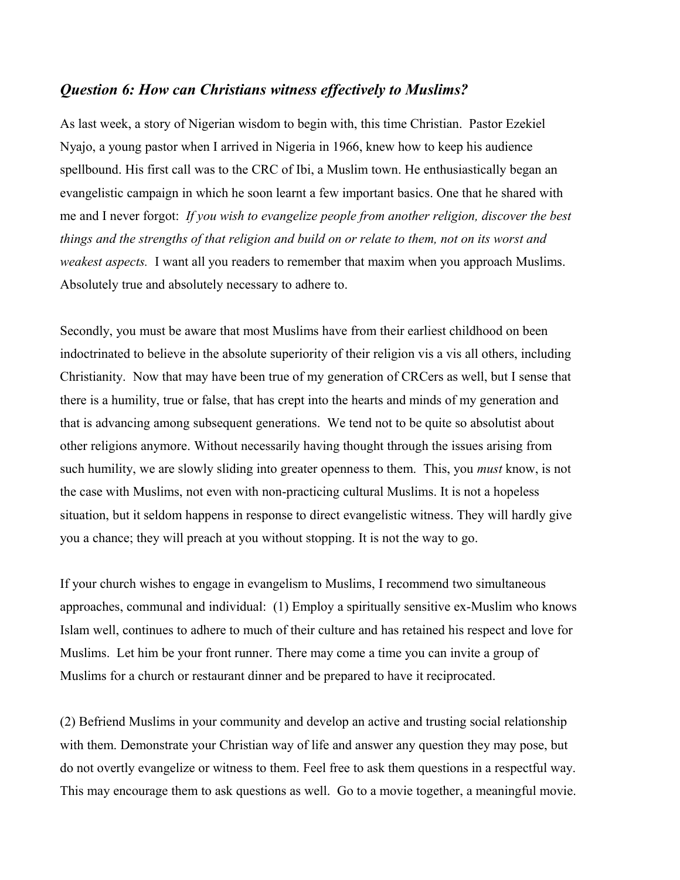## *Question 6: How can Christians witness effectively to Muslims?*

As last week, a story of Nigerian wisdom to begin with, this time Christian. Pastor Ezekiel Nyajo, a young pastor when I arrived in Nigeria in 1966, knew how to keep his audience spellbound. His first call was to the CRC of Ibi, a Muslim town. He enthusiastically began an evangelistic campaign in which he soon learnt a few important basics. One that he shared with me and I never forgot: *If you wish to evangelize people from another religion, discover the best things and the strengths of that religion and build on or relate to them, not on its worst and weakest aspects.* I want all you readers to remember that maxim when you approach Muslims. Absolutely true and absolutely necessary to adhere to.

Secondly, you must be aware that most Muslims have from their earliest childhood on been indoctrinated to believe in the absolute superiority of their religion vis a vis all others, including Christianity. Now that may have been true of my generation of CRCers as well, but I sense that there is a humility, true or false, that has crept into the hearts and minds of my generation and that is advancing among subsequent generations. We tend not to be quite so absolutist about other religions anymore. Without necessarily having thought through the issues arising from such humility, we are slowly sliding into greater openness to them. This, you *must* know, is not the case with Muslims, not even with non-practicing cultural Muslims. It is not a hopeless situation, but it seldom happens in response to direct evangelistic witness. They will hardly give you a chance; they will preach at you without stopping. It is not the way to go.

If your church wishes to engage in evangelism to Muslims, I recommend two simultaneous approaches, communal and individual: (1) Employ a spiritually sensitive ex-Muslim who knows Islam well, continues to adhere to much of their culture and has retained his respect and love for Muslims. Let him be your front runner. There may come a time you can invite a group of Muslims for a church or restaurant dinner and be prepared to have it reciprocated.

(2) Befriend Muslims in your community and develop an active and trusting social relationship with them. Demonstrate your Christian way of life and answer any question they may pose, but do not overtly evangelize or witness to them. Feel free to ask them questions in a respectful way. This may encourage them to ask questions as well. Go to a movie together, a meaningful movie.